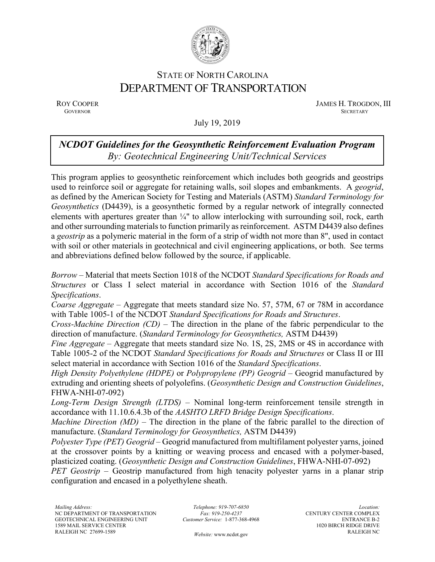

## STATE OF NORTH CAROLINA DEPARTMENT OF TRANSPORTATION

ROY COOPER JAMES H. TROGDON, III<br>GOVERNOR SECRETARY SECRETARY **GOVERNOR SECRETARY** SECRETARY

July 19, 2019

## *NCDOT Guidelines for the Geosynthetic Reinforcement Evaluation Program By: Geotechnical Engineering Unit/Technical Services*

This program applies to geosynthetic reinforcement which includes both geogrids and geostrips used to reinforce soil or aggregate for retaining walls, soil slopes and embankments. A *geogrid*, as defined by the American Society for Testing and Materials (ASTM) *Standard Terminology for Geosynthetics* (D4439), is a geosynthetic formed by a regular network of integrally connected elements with apertures greater than ¼" to allow interlocking with surrounding soil, rock, earth and other surrounding materials to function primarily as reinforcement. ASTM D4439 also defines a *geostrip* as a polymeric material in the form of a strip of width not more than 8", used in contact with soil or other materials in geotechnical and civil engineering applications, or both. See terms and abbreviations defined below followed by the source, if applicable.

*Borrow* – Material that meets Section 1018 of the NCDOT *Standard Specifications for Roads and Structures* or Class I select material in accordance with Section 1016 of the *Standard Specifications*.

*Coarse Aggregate* – Aggregate that meets standard size No. 57, 57M, 67 or 78M in accordance with Table 1005-1 of the NCDOT *Standard Specifications for Roads and Structures*.

*Cross-Machine Direction (CD)* – The direction in the plane of the fabric perpendicular to the direction of manufacture. (*Standard Terminology for Geosynthetics,* ASTM D4439)

*Fine Aggregate* – Aggregate that meets standard size No. 1S, 2S, 2MS or 4S in accordance with Table 1005-2 of the NCDOT *Standard Specifications for Roads and Structures* or Class II or III select material in accordance with Section 1016 of the *Standard Specifications*.

*High Density Polyethylene (HDPE)* or *Polypropylene (PP) Geogrid* – Geogrid manufactured by extruding and orienting sheets of polyolefins. (*Geosynthetic Design and Construction Guidelines*, FHWA-NHI-07-092)

*Long-Term Design Strength (LTDS)* – Nominal long-term reinforcement tensile strength in accordance with 11.10.6.4.3b of the *AASHTO LRFD Bridge Design Specifications*.

*Machine Direction (MD)* – The direction in the plane of the fabric parallel to the direction of manufacture. (*Standard Terminology for Geosynthetics,* ASTM D4439)

*Polyester Type (PET) Geogrid* – Geogrid manufactured from multifilament polyester yarns, joined at the crossover points by a knitting or weaving process and encased with a polymer-based, plasticized coating. (*Geosynthetic Design and Construction Guidelines*, FHWA-NHI-07-092)

*PET Geostrip* – Geostrip manufactured from high tenacity polyester yarns in a planar strip configuration and encased in a polyethylene sheath.

*Website:* [www.ncdot.gov](http://www.ncdot.gov/)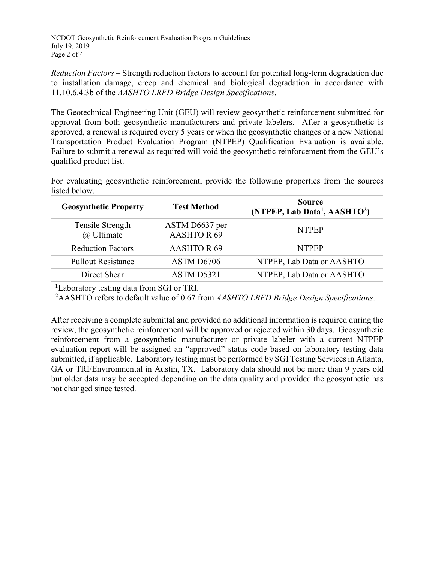NCDOT Geosynthetic Reinforcement Evaluation Program Guidelines July 19, 2019 Page 2 of 4

*Reduction Factors* – Strength reduction factors to account for potential long-term degradation due to installation damage, creep and chemical and biological degradation in accordance with 11.10.6.4.3b of the *AASHTO LRFD Bridge Design Specifications*.

The Geotechnical Engineering Unit (GEU) will review geosynthetic reinforcement submitted for approval from both geosynthetic manufacturers and private labelers. After a geosynthetic is approved, a renewal is required every 5 years or when the geosynthetic changes or a new National Transportation Product Evaluation Program (NTPEP) Qualification Evaluation is available. Failure to submit a renewal as required will void the geosynthetic reinforcement from the GEU's qualified product list.

For evaluating geosynthetic reinforcement, provide the following properties from the sources listed below.

| <b>Geosynthetic Property</b>                                                                                                                                | <b>Test Method</b>                  | <b>Source</b><br>(NTPEP, Lab Data <sup>1</sup> , AASHTO <sup>2</sup> ) |  |  |  |
|-------------------------------------------------------------------------------------------------------------------------------------------------------------|-------------------------------------|------------------------------------------------------------------------|--|--|--|
| Tensile Strength<br>@ Ultimate                                                                                                                              | ASTM D6637 per<br><b>AASHTOR 69</b> | <b>NTPEP</b>                                                           |  |  |  |
| <b>Reduction Factors</b>                                                                                                                                    | <b>AASHTOR69</b>                    | <b>NTPEP</b>                                                           |  |  |  |
| <b>Pullout Resistance</b>                                                                                                                                   | ASTM D6706                          | NTPEP, Lab Data or AASHTO                                              |  |  |  |
| Direct Shear                                                                                                                                                | ASTM D5321                          | NTPEP, Lab Data or AASHTO                                              |  |  |  |
| <sup>1</sup> Laboratory testing data from SGI or TRI.<br><sup>2</sup> AASHTO refers to default value of 0.67 from AASHTO LRFD Bridge Design Specifications. |                                     |                                                                        |  |  |  |

After receiving a complete submittal and provided no additional information is required during the review, the geosynthetic reinforcement will be approved or rejected within 30 days. Geosynthetic reinforcement from a geosynthetic manufacturer or private labeler with a current NTPEP evaluation report will be assigned an "approved" status code based on laboratory testing data submitted, if applicable. Laboratory testing must be performed by SGI Testing Services in Atlanta, GA or TRI/Environmental in Austin, TX. Laboratory data should not be more than 9 years old but older data may be accepted depending on the data quality and provided the geosynthetic has not changed since tested.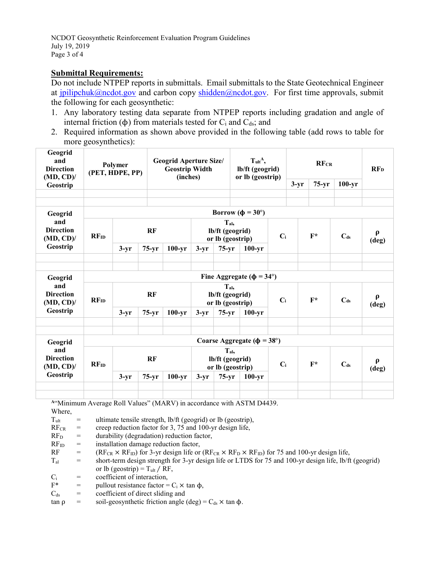NCDOT Geosynthetic Reinforcement Evaluation Program Guidelines July 19, 2019 Page 3 of 4

## **Submittal Requirements:**

Do not include NTPEP reports in submittals. Email submittals to the State Geotechnical Engineer at [jpilipchuk@ncdot.gov](mailto:jpilipchuk@ncdot.gov) and carbon copy [shidden@ncdot.gov.](mailto:shidden@ncdot.gov) For first time approvals, submit the following for each geosynthetic:

- 1. Any laboratory testing data separate from NTPEP reports including gradation and angle of internal friction ( $\phi$ ) from materials tested for C<sub>i</sub> and C<sub>ds</sub>; and
- 2. Required information as shown above provided in the following table (add rows to table for more geosynthetics):

| Geogrid<br>and<br><b>Direction</b><br>$(MD, CD)$ /             | Polymer<br>(PET, HDPE, PP)               |           |         | <b>Geogrid Aperture Size/</b><br><b>Geostrip Width</b><br>(inches) |                                                      |                                                                                   | $T_{ult}$ <sup>A</sup> ,<br>lb/ft (geogrid)<br>or lb (geostrip) |       | <b>RFCR</b>     |                              |                              | RF <sub>D</sub> |
|----------------------------------------------------------------|------------------------------------------|-----------|---------|--------------------------------------------------------------------|------------------------------------------------------|-----------------------------------------------------------------------------------|-----------------------------------------------------------------|-------|-----------------|------------------------------|------------------------------|-----------------|
| Geostrip                                                       |                                          |           |         |                                                                    |                                                      |                                                                                   |                                                                 |       | $3-yr$          | $75-yr$                      | $100 - yr$                   |                 |
|                                                                |                                          |           |         |                                                                    |                                                      |                                                                                   |                                                                 |       |                 |                              |                              |                 |
|                                                                |                                          |           |         |                                                                    |                                                      |                                                                                   |                                                                 |       |                 |                              |                              |                 |
| Geogrid<br>and<br><b>Direction</b><br>$(MD, CD)$ /<br>Geostrip | RFID                                     |           | RF      |                                                                    |                                                      | Borrow ( $\phi = 30^{\circ}$ )<br>$T_{al}$<br>lb/ft (geogrid)<br>or lb (geostrip) |                                                                 | $C_i$ |                 | $F^*$                        | C <sub>ds</sub>              | $\rho$<br>(deg) |
|                                                                |                                          | $3-yr$    | $75-yr$ | $100 - yr$                                                         | $3-yr$                                               | $75-yr$                                                                           | $100 - yr$                                                      |       |                 |                              |                              |                 |
|                                                                |                                          |           |         |                                                                    |                                                      |                                                                                   |                                                                 |       |                 |                              |                              |                 |
| Geogrid<br>and<br><b>Direction</b><br>$(MD, CD)$ /<br>Geostrip | Fine Aggregate ( $\phi = 34^{\circ}$ )   |           |         |                                                                    |                                                      |                                                                                   |                                                                 |       |                 |                              |                              |                 |
|                                                                | RFID                                     | RF        |         |                                                                    | $T_{\rm al.}$<br>lb/ft (geogrid)<br>or lb (geostrip) |                                                                                   | $C_i$                                                           |       | $F^*$           | $C_{ds}$                     | $\boldsymbol{\rho}$<br>(deg) |                 |
|                                                                |                                          | $3-yr$    | $75-yr$ | $100 - yr$                                                         | $3-yr$                                               | $75-yr$                                                                           | $100 - yr$                                                      |       |                 |                              |                              |                 |
|                                                                |                                          |           |         |                                                                    |                                                      |                                                                                   |                                                                 |       |                 |                              |                              |                 |
| Geogrid<br>and<br><b>Direction</b><br>$(MD, CD)$ /<br>Geostrip | Coarse Aggregate ( $\phi = 38^{\circ}$ ) |           |         |                                                                    |                                                      |                                                                                   |                                                                 |       |                 |                              |                              |                 |
|                                                                | RFID                                     | <b>RF</b> |         | $T_{al}$<br>lb/ft (geogrid)<br>or lb (geostrip)                    |                                                      | $C_i$                                                                             |                                                                 | $F^*$ | C <sub>ds</sub> | $\boldsymbol{\rho}$<br>(deg) |                              |                 |
|                                                                |                                          | $3-yr$    | $75-yr$ | $100 - yr$                                                         | $3-yr$                                               | $75-yr$                                                                           | $100 - yr$                                                      |       |                 |                              |                              |                 |
|                                                                |                                          |           |         |                                                                    |                                                      |                                                                                   |                                                                 |       |                 |                              |                              |                 |
|                                                                |                                          |           |         |                                                                    |                                                      |                                                                                   |                                                                 |       |                 |                              |                              |                 |

**<sup>A</sup>**"Minimum Average Roll Values" (MARV) in accordance with ASTM D4439. Where,

| $T_{ult}$       | $=$ | ultimate tensile strength, lb/ft (geogrid) or lb (geostrip),                                                               |
|-----------------|-----|----------------------------------------------------------------------------------------------------------------------------|
| $RF_{CR}$       | $=$ | creep reduction factor for 3, 75 and 100-yr design life,                                                                   |
| RF <sub>D</sub> | $=$ | durability (degradation) reduction factor,                                                                                 |
| $RF_{ID}$       | $=$ | installation damage reduction factor,                                                                                      |
| RF              | $=$ | $(RF_{CR} \times RF_{ID})$ for 3-yr design life or $(RF_{CR} \times RF_{D} \times RF_{ID})$ for 75 and 100-yr design life, |
| $T_{al}$        | $=$ | short-term design strength for 3-yr design life or LTDS for 75 and 100-yr design life, lb/ft (geogrid)                     |
|                 |     | or lb (geostrip) = $T_{ult}$ / RF,                                                                                         |
| $C_i$           | $=$ | coefficient of interaction,                                                                                                |
| $F^*$           | $=$ | pullout resistance factor = $C_i \times \tan \phi$ ,                                                                       |
| $C_{ds}$        | $=$ | coefficient of direct sliding and                                                                                          |
| $tan \rho$      | =   | soil-geosynthetic friction angle (deg) = $C_{ds}$ × tan $\phi$ .                                                           |